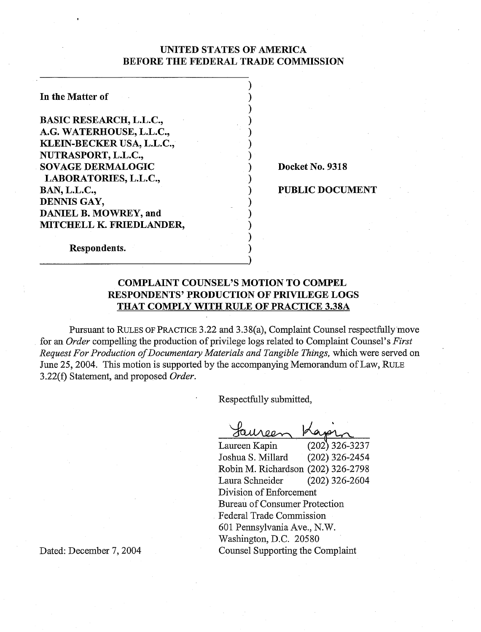## UNITED STATES OF AMERICA BEFORE THE FEDERAL TRADE COMMISSION

 $)$  $)$  $)$  $\mathbf{)}$  $\mathbf{)}$  $)$  $)$  :

 $\mathbf{)}$ 

 $\mathbf{)}$  $)$  $)$  $\mathbf{)}$ **1** 

In the Matter of BASIC RESEARCH, L.L.C., A.G. WATERHOUSE, L.L.C., KLEIN-BECKER USA, L.L.C., NUTRASPORT, L.L.C., SOVAGE DERMALOGIC LABORATORIES, L.L.C., BAN, L.L.C., DENNIS GAY, DANIEL B. MOWREY, and MITCHELL K. FRIEDLANDER,

Docket No. 9318

PUBLIC DOCUMENT

Respondents.

# COMPLAINT COUNSEL'S MOTION TO COMPEL RESPONDENTS' PRODUCTION OF PRIVILEGE LOGS THAT COMPLY WITH RULE OF PRACTICE 3.38A

Pursuant to RULES OF PRACTICE 3.22 and 3.3 8(a), Complaint Counsel respectfully move for *an Order* compelling the production of privilege logs related to Complaint Counsel's *First Request For Production of Documentary Materials and Tangible fiings,* which were served on June 25,2004. This motion is supported by the accompanying Memorandum of Law, RULE 3.22(f) Statement, and proposed *Order.* 

Respectfully submitted,

|                                    | $(202)$ 326-3237 |  |
|------------------------------------|------------------|--|
| Laureen Kapin                      |                  |  |
| Joshua S. Millard                  | (202) 326-2454   |  |
| Robin M. Richardson (202) 326-2798 |                  |  |
| Laura Schneider                    | $(202)$ 326-2604 |  |
| Division of Enforcement            |                  |  |
| Bureau of Consumer Protection      |                  |  |
| Federal Trade Commission           |                  |  |
| 601 Pennsylvania Ave., N.W.        |                  |  |
| Washington, D.C. 20580             |                  |  |
| Counsel Supporting the Complaint   |                  |  |

Dated: December 7, 2004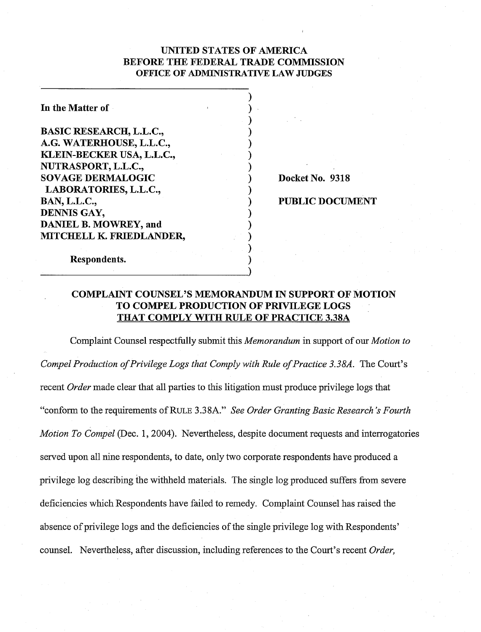## UNITED STATES OF AMERICA BEFORE THE FEDERAL TRADE COMMISSION OFFICE OF ADMIMSTRATIVE LAW JUDGES

 $)$  .  $\mathbf{)}$ **1**   $)$  $)$  $)$  $)$ 

 $\mathbf{)}$ 

 $\mathbf{)}$  $)$  $)$  $\mathbf{)}$  $)$  .

In the Matter of

BASIC RESEARCH, L.L.C., A.G. WATERHOUSE, L.L.C., KLEIN-BECKER USA, L.L.C., NUTRASPORT, L.L.C., SOVAGE DERMALOGIC LABORATORIES, L.L.C., BAN, L.L.C., DENNIS GAY, DANIEL B. MOWREY, and MITCHELL **K.** FRIEDLANDER,

Docket No. 9318

#### 1 PUBLIC DOCUMENT

Respondents.

# COMPLAINT COUNSEL'S MEMORANDUM IN SUPPORT OF MOTION TO COMPEL PRODUCTION OF PRIVILEGE LOGS THAT COMPLY WITH RULE OF PRACTICE 3.38A

Complaint Counsel respectfully submit this *Memorandum* in support of our *Motion to Compel Production of Privilege Logs that Comply with Rule of Practice 3.38A.* The Court's recent *Order* made clear that all parties to this litigation must produce privilege logs that "conform to the requirements of RULE **3.38A."** *See Order Granting Basic Research's Fourth Motion To Compel* (Dec. 1, 2004). Nevertheless, despite document requests and interrogatories served upon all nine respondents, to date, only two corporate respondents have produced a privilege log describing the withheld materials. The single log produced suffers from severe deficiencies which Respondents have failed to remedy. Complaint Counsel has raised the absence of privilege logs and the deficiencies of the single privilege log with Respondents' counsel. Nevertheless, after discussion, including references to the Court's recent *Order,*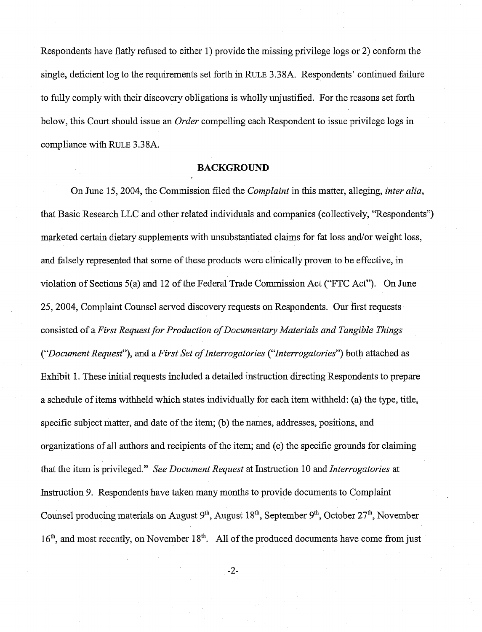Respondents have flatly refused to either 1) provide the missing privilege logs or 2) conform the single, deficient log to the requirements set forth in RULE 3.38A. Respondents' continued failure to fully comply with their discovery obligations is wholly unjustified. For the reasons set forth below, this Court should issue an Order compelling each Respondent to issue privilege logs in compliance with RULE 3.3 8A.

#### **BACKGROUND**

On June 15,2004, the Commission filed the Complaint in this matter, alleging, inter alia, that Basic Research LLC and other related individuals and companies (collectively, "Respondents") marketed certain dietary supplements with unsubstantiated claims for fat loss and/or weight loss, and falsely represented that some of these products were clinically proven to be effective, in violation of Sections 5(a) and 12 of the Federal Trade Commission Act ('FTC Act"). On June 25, 2004, Complaint Counsel served discovery requests on Respondents. Our first requests consisted of a First Request for Production of Documentary Materials and Tangible Things ("Document Request"), and a First Set of Interrogatories ("'Interrogatories") both attached as Exhibit 1. These initial requests included a detailed instruction directing Respondents to prepare a schedule of items withheld which states individually for each item withheld: (a) the type, title, specific subject matter, and date of the item; (b) the names, addresses, positions, and organizations of all authors and recipients of the item; and (c) the specific grounds for claiming that the item is privileged." See Document Request at Instruction 10 and Interrogatories at Instruction 9. Respondents have taken many months to provide documents to Complaint Counsel producing materials on August  $9<sup>th</sup>$ , August  $18<sup>th</sup>$ , September  $9<sup>th</sup>$ , October  $27<sup>th</sup>$ , November  $16<sup>th</sup>$ , and most recently, on November  $18<sup>th</sup>$ . All of the produced documents have come from just

 $-2-$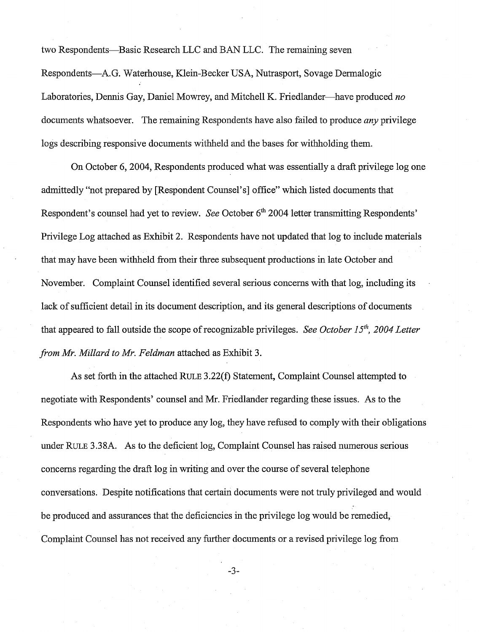two Respondents-Basic Research LLC and BAN LLC. The remaining seven Respondents-A.G. Waterhouse, Klein-Becker USA, Nutrasport, Sovage Dermalogic Laboratories, Dennis Gay, Daniel Mowrey, and Mitchell K. Friedlander-have produced *no*  documents whatsoever. The remaining Respondents have also failed to produce *any* privilege logs describing responsive documents withheld and the bases for withholding them.

On October 6,2004, Respondents produced what was essentially a draft privilege log one admittedly "not prepared by [Respondent Counsel's] office" which listed documents that Respondent's counsel had yet to review. *See* October 6<sup>th</sup> 2004 letter transmitting Respondents' Privilege Log attached as Exhibit 2. Respondents have not updated that log to include materials that may have been withheld from their three subsequent productions in late October and November. Complaint Counsel identified several serious concerns with that log, including its lack of sufficient detail in its document description, and its general descriptions of documents that appeared to fall outside the scope of recognizable privileges. *See October 15"', 2004 Letter from Mr. Millard to Mr. Feldman* attached as Exhibit 3.

As set forth in the attached RULE 3.22(f) Statement, Complaint Counsel attempted to negotiate with Respondents' counsel and Mr. Friedlander regarding these issues. As to the Respondents who have yet to produce any log, they have refused to comply with their obligations under RULE **3.38A.** As to the deficient log, Complaint Counsel has raised numerous serious concerns regarding the draft log in writing and over the course of several telephone conversations. Despite notifications that certain documents were not truly privileged and would be produced and assurances that the deficiencies in the privilege log would be remedied, Complaint Counsel has not received any further documents or a revised privilege log from

 $-3-$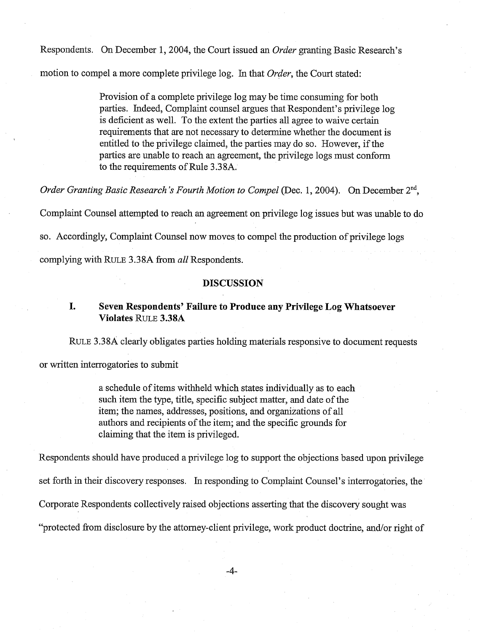Respondents. On December 1,2004, the Court issued an *Order* granting Basic Research's motion to compel a more complete privilege log. In that *Order,* the Court stated:

> Provision of a complete privilege log may be time consuming for both parties. Indeed, Complaint counsel argues that Respondent's privilege log is deficient as well. To the extent the parties all agree to waive certain requirements that are not necessary to determine whether the document is entitled to the privilege claimed, the parties may do so. However, if the parties are unable to reach an agreement, the privilege logs must conform to the requirements of Rule 3.38A.

*Order Granting Basic Research's Fourth Motion to Compel* (Dec. 1, 2004). On December 2<sup>nd</sup>,

Complaint Counsel attempted to reach an agreement on privilege log issues but was unable to do

so. Accordingly, Complaint Counsel now moves to compel the production of privilege logs

complying with RULE 3.3 8A fiom *all* Respondents.

### **DISCUSSION**

## **I. Seven Respondents' Failure to Produce any Privilege Log Whatsoever Violates** RULE **3.38A**

RULE 3.38A clearly obligates parties holding materials responsive to document requests

or written interrogatories to submit

a schedule of items withheld which states individually as to each such item the type, title, specific subject matter, and date of the item; the names, addresses, positions, and organizations of all authors and recipients of the item; and the specific grounds for claiming that the item is privileged.

Respondents should have produced a privilege log to support the objections based upon privilege set forth in their discovery responses. In responding to Complaint Counsel's interrogatories, the Corporate Respondents collectively raised objections asserting that the discovery sought was "protected from disclosure by the attorney-client privilege, work product doctrine, and/or right of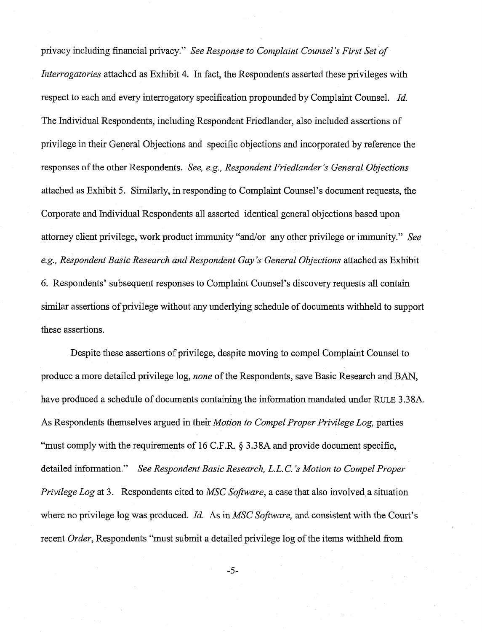privacy including financial privacy." *See Response to Complaint Counsel's First Set of Interrogatories* attached as Exhibit 4. In fact, the Respondents asserted these privileges with respect to each and every interrogatory specification propounded by Complaint Counsel. *Id.*  The Individual Respondents, including Respondent Friedlander, also included assertions of privilege in their General Objections and specific objections and incorporated by reference the responses of the other Respondents. *See, e.g., Respondent Friedlander's General Objections*  attached as Exhibit 5. Similarly, in responding to Complaint Counsel's document requests, the Corporate and Individual Respondents all asserted identical general objections based upon attorney client privilege, work product immunity "and/or any other privilege or immunity." *See*  e.g., Respondent Basic Research and Respondent Gay's General Objections attached as Exhibit 6. Respondents' subsequent responses to Complaint Counsel's discovery requests all contain similar assertions of privilege without any underlying schedule of documents withheld to support these assertions.

Despite these assertions of privilege, despite moving to compel Complaint Counsel to produce a more detailed privilege log, *none* of the Respondents, save Basic Research and BAN, have produced a schedule of documents containing the information mandated under RULE 3.38A. As Respondents themselves argued in their *Motion to Compel Proper Privilege Log,* parties "must comply with the requirements of 16 C.F.R. *5* 3.38A and provide document specific, detailed information." *See Respondent Basic Research, L.L. C. 's Motion to Compel Proper Privilege Log* at 3. Respondents cited to *MSC Software*, a case that also involved a situation where no privilege log was produced. *Id.* As in *MSC Software,* and consistent with the Court's recent *Order,* Respondents "must submit a detailed privilege log of the items withheld fiom

 $-5-$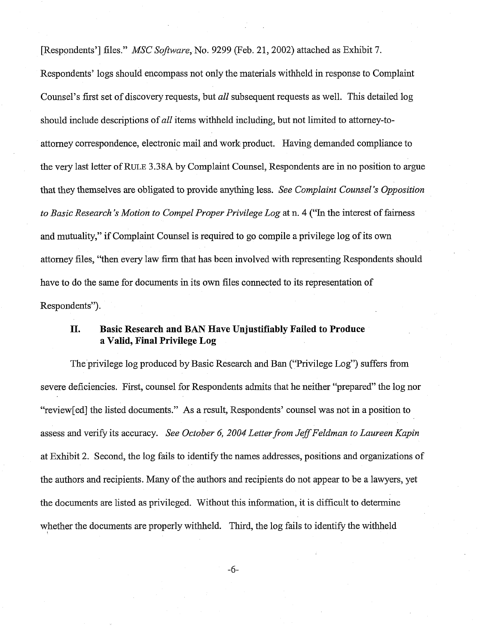[Respondents'] files." *MSC Software,* No. 9299 (Feb. 21,2002) attached as Exlubit 7.

Respondents' logs should encompass not only the materials withheld in response to Complaint Counsel's first set of discovery requests, but *all* subsequent requests as well. This detailed log should include descriptions of *all* items withheld including, but not limited to attorney-toattorney correspondence, electronic mail and work product. Having demanded compliance to the very last letter of RULE 3.38A by Complaint Counsel, Respondents are in no position to argue that they themselves are obligated to provide anything less. *See Complaint Counsel's Opposition to Basic Research 's Motion to Compel Proper Privilege Log* at n. *4* ("In the interest of fairness and mutuality," if Complaint Counsel is required to go compile a privilege log of its own attorney files, "then every law firm that has been involved with representing Respondents should have to do the same for documents in its own files connected to its representation of Respondents").

## **11. Basic Research and BAN Have Unjustifiably Failed to Produce a Valid, Final Privilege Log**

The privilege log produced by Basic Research and Ban ("Privilege Log") suffers from severe deficiencies. First, counsel for Respondents admits that he neither "prepared" the log nor "review[ed] the listed documents." As a result, Respondents' counsel was not in a position to assess and verify its accuracy. *See October 6, 2004 Letter from Jeff Feldman to Laureen Kapin* at Exhibit 2. Second, the log fails to identify the names addresses, positions and organizations of the authors and recipients. Many of the authors and recipients do not appear to be a lawyers, yet the documents are listed as privileged. Without this information, it is difficult to determine whether the documents are properly withheld. Third, the log fails to identify the withheld

-6-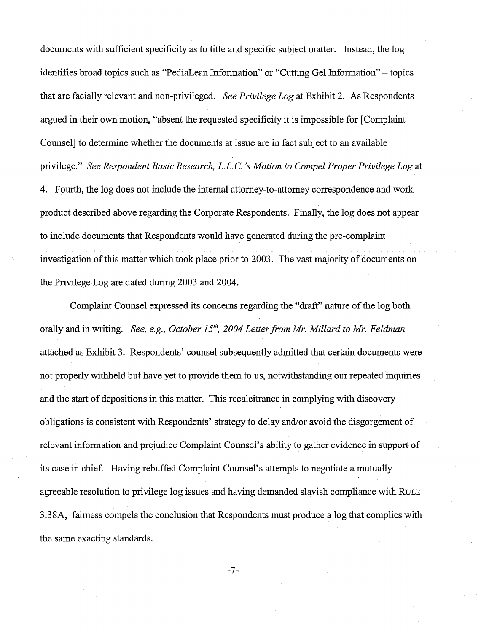documents with sufficient specificity as to title and specific subject matter. Instead, the log identifies broad topics such as "PediaLean Information" or "Cutting Gel Information" - topics that are facially relevant and non-privileged. *See Privilege Log* at Exhibit 2. As Respondents argued in their own motion, "absent the requested specificity it is impossible for [Complaint Counsel] to determine whether the documents at issue are in fact subject to an available privilege." *See Respondent Basic Research, L.L. C. 's Motion to Compel Proper Privilege Log* at 4. Fourth, the log does not include the internal attorney-to-attorney correspondence and work product described above regarding the Corporate Respondents. Finally, the log does not appear to include documents that Respondents would have generated during the pre-complaint investigation of this matter whch took place prior to 2003. The vast majority of documents on the Privilege Log are dated during 2003 and 2004.

Complaint Counsel expressed its concerns regarding the "draft" nature of the log both orally and in writing. *See, e.g., October 15<sup>th</sup>, 2004 Letter from Mr. Millard to Mr. Feldman* attached as Exhibit 3. Respondents' counsel subsequently admitted that certain documents were not properly withheld but have yet to provide them to us, notwithstanding our repeated inquiries and the start of depositions in this matter. This recalcitrance in complying with discovery obligations is consistent with Respondents' strategy to delay and/or avoid the disgorgement of relevant information and prejudice Complaint Counsel's ability to gather evidence in support of its case in chief. Having rebuffed Complaint Counsel's attempts to negotiate a mutually agreeable resolution to privilege log issues and having demanded slavish compliance with RULE 3.38A, fairness compels the conclusion that Respondents must produce a log that complies with the same exacting standards.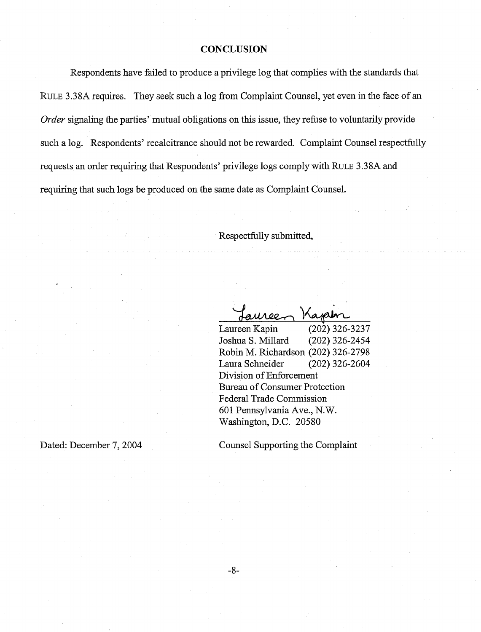### **CONCLUSION**

Respondents have failed to produce a privilege log that complies with the standards that RULE 3.38A requires. They seek such a log from Complaint Counsel, yet even in the face of an *Order* signaling the parties' mutual obligations on this issue, they refuse to voluntarily provide such a log. Respondents' recalcitrance should not be rewarded. Complaint Counsel respectfully requests an order requiring that Respondents' privilege logs comply with RULE 3.38A and requiring that such logs be produced on the same date as Complaint Counsel.

### Respectfully submitted,

Kapen uree-

Laureen Kapin (202) 326-3237 Joshua S. Millard (202) 326-2454 Robin M. Richardson (202) 326-2798 Laura Schneider (202) 326-2604 Division of Enforcement Bureau of Consumer Protection Federal Trade Commission 601 Pennsylvania Ave., N.W. Washington, D.C. 20580

Dated: December 7, 2004

Counsel Supporting the Complaint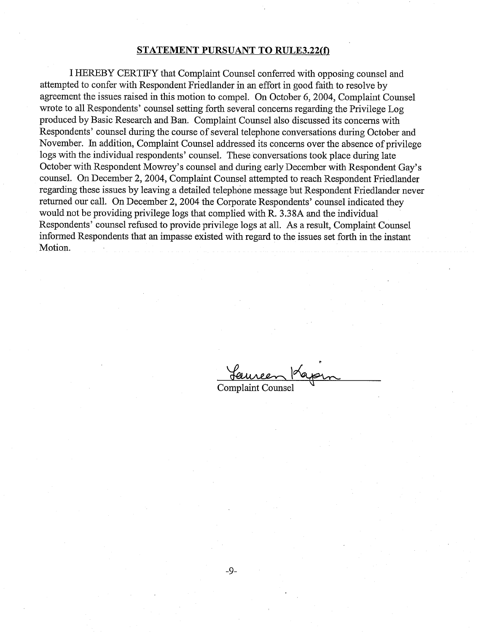#### **STATEMENT PURSUANT TO RULE3.22(f)**

I HEREBY CERTIFY that Complaint Counsel conferred with opposing counsel and attempted to confer with Respondent Friedlander in an effort in good faith to resolve by agreement the issues raised in this motion to compel. On October 6, 2004, Complaint Counsel wrote to all Respondents' counsel setting forth several concerns regarding the Privilege Log produced by Basic Research and Ban. Complaint Counsel also discussed its concerns with Respondents' counsel during the course of several telephone conversations during October and November. In addition, Complaint Counsel addressed its concerns over the absence of privilege logs with the individual respondents' counsel. These conversations took place during late October with Respondent Mowrey's counsel and during early December with Respondent Gay's counsel. On December 2,2004, Complaint Counsel attempted to reach Respondent Friedlander regarding these issues by leaving a detailed telephone message but Respondent Friedlander never returned our call. On December 2, 2004 the Corporate Respondents' counsel indicated they would not be providing privilege logs that complied with R. **3.38A** and the individual Respondents' counsel refused to provide privilege logs at all. As a result, Complaint Counsel informed Respondents that an impasse existed with regard to the issues set forth in the instant Motion.

Seuvreen Kapin Complaint Counsel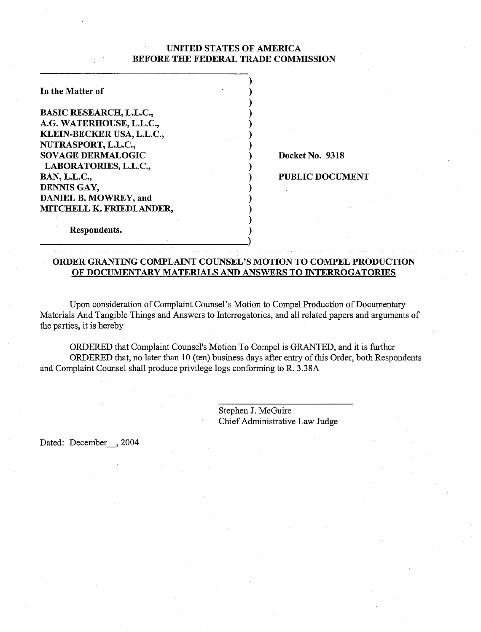### UNITED STATES OF AMERICA BEFORE THE FEDERAL TRADE COMMISSION

 $)$  $)$  $)$  $)$  $)$  $)$  $)$ 

 $\mathbf{)}$ 

 $\mathbf{)}$  $)$  $)$  $)$  $)$ 

| In the Matter of               |  |
|--------------------------------|--|
| <b>BASIC RESEARCH, L.L.C.,</b> |  |
| A.G. WATERHOUSE, L.L.C.,       |  |
| KLEIN-BECKER USA, L.L.C.,      |  |
| NUTRASPORT, L.L.C.,            |  |
| <b>SOVAGE DERMALOGIC</b>       |  |
| LABORATORIES, L.L.C.,          |  |
| <b>BAN, L.L.C.,</b>            |  |
| DENNIS GAY,                    |  |
| <b>DANIEL B. MOWREY, and</b>   |  |
| MITCHELL K. FRIEDLANDER,       |  |
|                                |  |

Docket No. 9318

PUBLIC DOCUMENT

# ORDER GRANTING COMPLAINT COUNSEL'S MOTION TO COMPEL PRODUCTION OF DOCUMENTARY MATERIALS AND ANSWERS TO INTERROGATORIES

Upon consideration of Complaint Counsel's Motion to Compel Production of Documentary Materials And Tangible Things and Answers to Interrogatories, and all related papers and arguments of the parties, it is hereby

ORDERED that Complaint Counsel's Motion To Compel is GRANTED, and it is further ORDERED that, no later than 10 (ten) business days after entry of this Order, both Respondents and Complaint Counsel shall produce privilege logs conforming to R. 3.38A

> Stephen J. McGuire Chief Administrative Law Judge

Dated: December, 2004

Respondents.